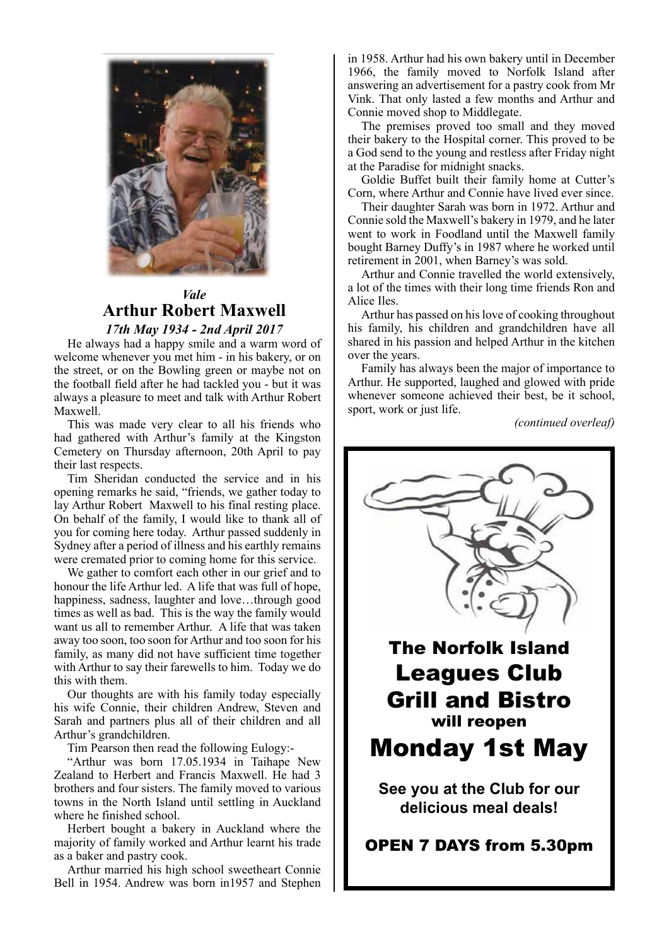

## *Vale* **Arthur Robert Maxwell**

#### *17th May 1934 - 2nd April 2017*

He always had a happy smile and a warm word of welcome whenever you met him - in his bakery, or on the street, or on the Bowling green or maybe not on the football field after he had tackled you - but it was always a pleasure to meet and talk with Arthur Robert Maxwell.

This was made very clear to all his friends who had gathered with Arthur's family at the Kingston Cemetery on Thursday afternoon, 20th April to pay their last respects.

Tim Sheridan conducted the service and in his opening remarks he said, "friends, we gather today to lay Arthur Robert Maxwell to his final resting place. On behalf of the family, I would like to thank all of you for coming here today. Arthur passed suddenly in Sydney after a period of illness and his earthly remains were cremated prior to coming home for this service.

We gather to comfort each other in our grief and to honour the life Arthur led. A life that was full of hope, happiness, sadness, laughter and love…through good times as well as bad. This is the way the family would want us all to remember Arthur. A life that was taken away too soon, too soon for Arthur and too soon for his family, as many did not have sufficient time together with Arthur to say their farewells to him. Today we do this with them.

Our thoughts are with his family today especially his wife Connie, their children Andrew, Steven and Sarah and partners plus all of their children and all Arthur's grandchildren.

Tim Pearson then read the following Eulogy:-

"Arthur was born 17.05.1934 in Taihape New Zealand to Herbert and Francis Maxwell. He had 3 brothers and four sisters. The family moved to various towns in the North Island until settling in Auckland where he finished school.

Herbert bought a bakery in Auckland where the majority of family worked and Arthur learnt his trade as a baker and pastry cook.

Arthur married his high school sweetheart Connie Bell in 1954. Andrew was born in1957 and Stephen in 1958. Arthur had his own bakery until in December 1966, the family moved to Norfolk Island after answering an advertisement for a pastry cook from Mr Vink. That only lasted a few months and Arthur and Connie moved shop to Middlegate.

The premises proved too small and they moved their bakery to the Hospital corner. This proved to be a God send to the young and restless after Friday night at the Paradise for midnight snacks.

Goldie Buffet built their family home at Cutter's Corn, where Arthur and Connie have lived ever since.

Their daughter Sarah was born in 1972. Arthur and Connie sold the Maxwell's bakery in 1979, and he later went to work in Foodland until the Maxwell family bought Barney Duffy's in 1987 where he worked until retirement in 2001, when Barney's was sold.

Arthur Robert Maxwell Arthur has passed on his love of cooking throughout Arthur and Connie travelled the world extensively, a lot of the times with their long time friends Ron and Alice Iles.

Ins Tanny, ins enhanced and grandematical nave and shared in his passion and helped Arthur in the kitchen his family, his children and grandchildren have all over the years.

Family has always been the major of importance to Arthur. He supported, laughed and glowed with pride whenever someone achieved their best, be it school, sport, work or just life.

*(continued overleaf)*